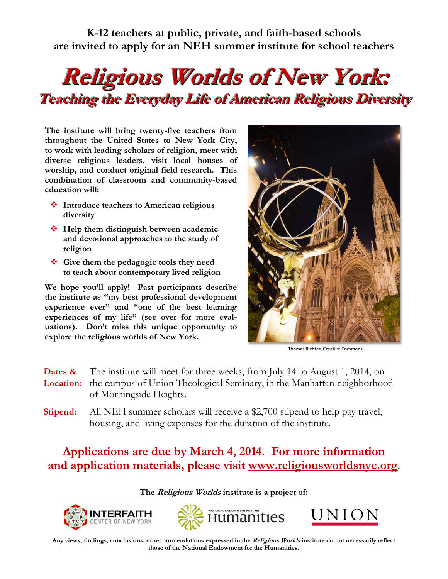**K-12 teachers at public, private, and faith-based schools are invited to apply for an NEH summer institute for school teachers**

## **Religious Worlds of New York: Teaching the Everyday Life of American Religious Diversity**

**The institute will bring twenty-five teachers from throughout the United States to New York City, to work with leading scholars of religion, meet with diverse religious leaders, visit local houses of worship, and conduct original field research. This combination of classroom and community-based education will:**

- **Introduce teachers to American religious diversity**
- $\triangle$  **Help them distinguish between academic and devotional approaches to the study of religion**
- **Give them the pedagogic tools they need to teach about contemporary lived religion**

**We hope you'll apply! Past participants describe the institute as "my best professional development experience ever" and "one of the best learning experiences of my life" (see over for more evaluations). Don't miss this unique opportunity to explore the religious worlds of New York.**



Thomas Richter, Creative Commons

- **Dates &** The institute will meet for three weeks, from July 14 to August 1, 2014, on  **Location:** the campus of Union Theological Seminary, in the Manhattan neighborhood of Morningside Heights.
- **Stipend:** All NEH summer scholars will receive a \$2,700 stipend to help pay travel, housing, and living expenses for the duration of the institute.

## **Applications are due by March 4, 2014. For more information and application materials, please visit [www.religiousworldsnyc.org](http://www.religiousworldsnyc.org/).**

## **The Religious Worlds institute is a project of:**







**Any views, findings, conclusions, or recommendations expressed in the Religious Worlds institute do not necessarily reflect those of the National Endowment for the Humanities.**